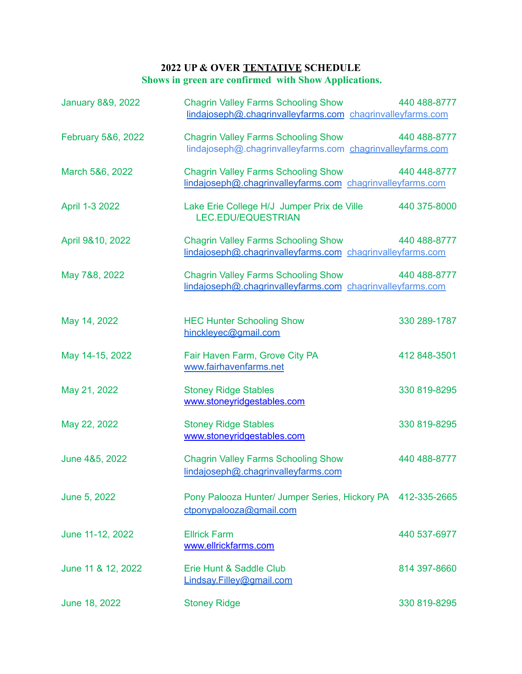## **2022 UP & OVER TENTATIVE SCHEDULE Shows in green are confirmed with Show Applications.**

| <b>January 8&amp;9, 2022</b> | <b>Chagrin Valley Farms Schooling Show</b><br>lindajoseph@.chagrinvalleyfarms.com chagrinvalleyfarms.com | 440 488-8777 |
|------------------------------|----------------------------------------------------------------------------------------------------------|--------------|
| February 5&6, 2022           | <b>Chagrin Valley Farms Schooling Show</b><br>lindajoseph@.chagrinvalleyfarms.com chagrinvalleyfarms.com | 440 488-8777 |
| March 5&6, 2022              | <b>Chagrin Valley Farms Schooling Show</b><br>lindajoseph@.chagrinvalleyfarms.com chagrinvalleyfarms.com | 440 448-8777 |
| April 1-3 2022               | Lake Erie College H/J Jumper Prix de Ville<br><b>LEC.EDU/EQUESTRIAN</b>                                  | 440 375-8000 |
| April 9&10, 2022             | <b>Chagrin Valley Farms Schooling Show</b><br>lindajoseph@.chagrinvalleyfarms.com chagrinvalleyfarms.com | 440 488-8777 |
| May 7&8, 2022                | <b>Chagrin Valley Farms Schooling Show</b><br>lindajoseph@.chagrinvalleyfarms.com chagrinvalleyfarms.com | 440 488-8777 |
| May 14, 2022                 | <b>HEC Hunter Schooling Show</b><br>hinckleyec@gmail.com                                                 | 330 289-1787 |
| May 14-15, 2022              | Fair Haven Farm, Grove City PA<br>www.fairhavenfarms.net                                                 | 412 848-3501 |
| May 21, 2022                 | <b>Stoney Ridge Stables</b><br>www.stoneyridgestables.com                                                | 330 819-8295 |
| May 22, 2022                 | <b>Stoney Ridge Stables</b><br>www.stoneyridgestables.com                                                | 330 819-8295 |
| June 4&5, 2022               | <b>Chagrin Valley Farms Schooling Show</b><br>lindajoseph@.chagrinvalleyfarms.com                        | 440 488-8777 |
| June 5, 2022                 | Pony Palooza Hunter/ Jumper Series, Hickory PA 412-335-2665<br>ctponypalooza@gmail.com                   |              |
| June 11-12, 2022             | <b>Ellrick Farm</b><br>www.ellrickfarms.com                                                              | 440 537-6977 |
| June 11 & 12, 2022           | Erie Hunt & Saddle Club<br>Lindsay.Filley@gmail.com                                                      | 814 397-8660 |
| June 18, 2022                | <b>Stoney Ridge</b>                                                                                      | 330 819-8295 |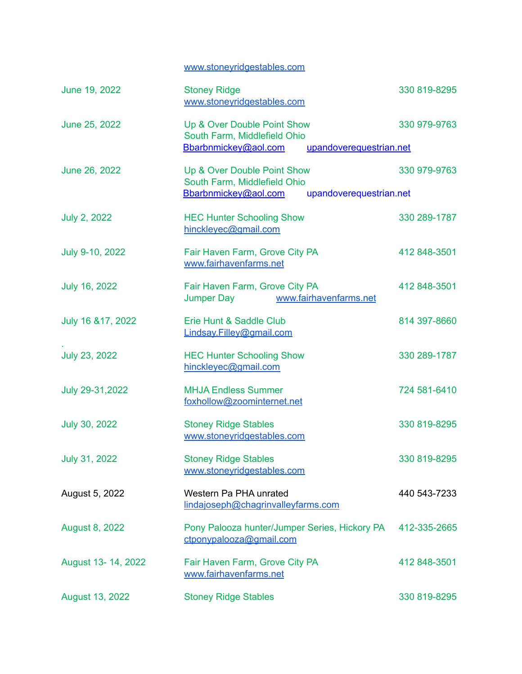[www.stoneyridgestables.com](http://www.stoneyridgestables.com)

| June 19, 2022         | <b>Stoney Ridge</b><br>www.stoneyridgestables.com                                                              | 330 819-8295 |
|-----------------------|----------------------------------------------------------------------------------------------------------------|--------------|
| June 25, 2022         | Up & Over Double Point Show<br>South Farm, Middlefield Ohio<br>Bbarbnmickey@aol.com<br>upandoverequestrian.net | 330 979-9763 |
| June 26, 2022         | Up & Over Double Point Show<br>South Farm, Middlefield Ohio<br>Bbarbnmickey@aol.com<br>upandoverequestrian.net | 330 979-9763 |
| <b>July 2, 2022</b>   | <b>HEC Hunter Schooling Show</b><br>hinckleyec@gmail.com                                                       | 330 289-1787 |
| July 9-10, 2022       | Fair Haven Farm, Grove City PA<br>www.fairhavenfarms.net                                                       | 412 848-3501 |
| <b>July 16, 2022</b>  | Fair Haven Farm, Grove City PA<br>www.fairhavenfarms.net<br>Jumper Day                                         | 412 848-3501 |
| July 16 & 17, 2022    | Erie Hunt & Saddle Club<br>Lindsay.Filley@gmail.com                                                            | 814 397-8660 |
| <b>July 23, 2022</b>  | <b>HEC Hunter Schooling Show</b><br>hinckleyec@gmail.com                                                       | 330 289-1787 |
| July 29-31, 2022      | <b>MHJA Endless Summer</b><br>foxhollow@zoominternet.net                                                       | 724 581-6410 |
| <b>July 30, 2022</b>  | <b>Stoney Ridge Stables</b><br>www.stoneyridgestables.com                                                      | 330 819-8295 |
| July 31, 2022         | <b>Stoney Ridge Stables</b><br>www.stoneyridgestables.com                                                      | 330 819-8295 |
| August 5, 2022        | Western Pa PHA unrated<br>lindajoseph@chagrinvalleyfarms.com                                                   | 440 543-7233 |
| <b>August 8, 2022</b> | Pony Palooza hunter/Jumper Series, Hickory PA<br>ctponypalooza@gmail.com                                       | 412-335-2665 |
| August 13-14, 2022    | Fair Haven Farm, Grove City PA<br>www.fairhavenfarms.net                                                       | 412 848-3501 |
| August 13, 2022       | <b>Stoney Ridge Stables</b>                                                                                    | 330 819-8295 |